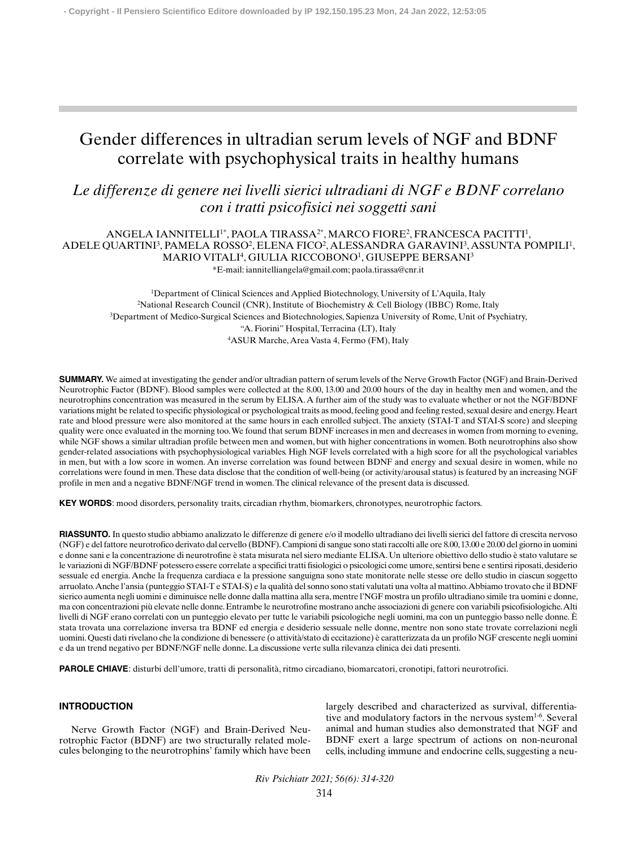# Gender differences in ultradian serum levels of NGF and BDNF correlate with psychophysical traits in healthy humans

*Le differenze di genere nei livelli sierici ultradiani di NGF e BDNF correlano con i tratti psicofisici nei soggetti sani*

## ANGELA IANNITELLI1\*, PAOLA TIRASSA2\*, MARCO FIORE2, FRANCESCA PACITTI1, ADELE QUARTINI<sup>3</sup>, PAMELA ROSSO<sup>2</sup>, ELENA FICO<sup>2</sup>, ALESSANDRA GARAVINI<sup>3</sup>, ASSUNTA POMPILI<sup>1</sup>, MARIO VITALI4, GIULIA RICCOBONO1 , GIUSEPPE BERSANI3 \*E-mail: iannitelliangela@gmail.com; paola.tirassa@cnr.it

<sup>1</sup>Department of Clinical Sciences and Applied Biotechnology, University of L'Aquila, Italy 2National Research Council (CNR), Institute of Biochemistry & Cell Biology (IBBC) Rome, Italy 3Department of Medico-Surgical Sciences and Biotechnologies, Sapienza University of Rome, Unit of Psychiatry, "A. Fiorini" Hospital, Terracina (LT), Italy 4 ASUR Marche, Area Vasta 4, Fermo (FM), Italy

**SUMMARY.** We aimed at investigating the gender and/or ultradian pattern of serum levels of the Nerve Growth Factor (NGF) and Brain-Derived Neurotrophic Factor (BDNF). Blood samples were collected at the 8.00, 13.00 and 20.00 hours of the day in healthy men and women, and the neurotrophins concentration was measured in the serum by ELISA. A further aim of the study was to evaluate whether or not the NGF/BDNF variations might be related to specific physiological or psychological traits as mood, feeling good and feeling rested, sexual desire and energy. Heart rate and blood pressure were also monitored at the same hours in each enrolled subject. The anxiety (STAI-T and STAI-S score) and sleeping quality were once evaluated in the morning too. We found that serum BDNF increases in men and decreases in women from morning to evening, while NGF shows a similar ultradian profile between men and women, but with higher concentrations in women. Both neurotrophins also show gender-related associations with psychophysiological variables. High NGF levels correlated with a high score for all the psychological variables in men, but with a low score in women. An inverse correlation was found between BDNF and energy and sexual desire in women, while no correlations were found in men. These data disclose that the condition of well-being (or activity/arousal status) is featured by an increasing NGF profile in men and a negative BDNF/NGF trend in women. The clinical relevance of the present data is discussed.

**KEY WORDS**: mood disorders, personality traits, circadian rhythm, biomarkers, chronotypes, neurotrophic factors.

**RIASSUNTO.** In questo studio abbiamo analizzato le differenze di genere e/o il modello ultradiano dei livelli sierici del fattore di crescita nervoso (NGF) e del fattore neurotrofico derivato dal cervello (BDNF). Campioni di sangue sono stati raccolti alle ore 8.00, 13.00 e 20.00 del giorno in uomini e donne sani e la concentrazione di neurotrofine è stata misurata nel siero mediante ELISA. Un ulteriore obiettivo dello studio è stato valutare se le variazioni di NGF/BDNF potessero essere correlate a specifici tratti fisiologici o psicologici come umore, sentirsi bene e sentirsi riposati, desiderio sessuale ed energia. Anche la frequenza cardiaca e la pressione sanguigna sono state monitorate nelle stesse ore dello studio in ciascun soggetto arruolato. Anche l'ansia (punteggio STAI-T e STAI-S) e la qualità del sonno sono stati valutati una volta al mattino. Abbiamo trovato che il BDNF sierico aumenta negli uomini e diminuisce nelle donne dalla mattina alla sera, mentre l'NGF mostra un profilo ultradiano simile tra uomini e donne, ma con concentrazioni più elevate nelle donne. Entrambe le neurotrofine mostrano anche associazioni di genere con variabili psicofisiologiche. Alti livelli di NGF erano correlati con un punteggio elevato per tutte le variabili psicologiche negli uomini, ma con un punteggio basso nelle donne. È stata trovata una correlazione inversa tra BDNF ed energia e desiderio sessuale nelle donne, mentre non sono state trovate correlazioni negli uomini. Questi dati rivelano che la condizione di benessere (o attività/stato di eccitazione) è caratterizzata da un profilo NGF crescente negli uomini e da un trend negativo per BDNF/NGF nelle donne. La discussione verte sulla rilevanza clinica dei dati presenti.

**PAROLE CHIAVE**: disturbi dell'umore, tratti di personalità, ritmo circadiano, biomarcatori, cronotipi, fattori neurotrofici.

## **INTRODUCTION**

Nerve Growth Factor (NGF) and Brain-Derived Neurotrophic Factor (BDNF) are two structurally related molecules belonging to the neurotrophins' family which have been largely described and characterized as survival, differentiative and modulatory factors in the nervous system<sup>1-6</sup>. Several animal and human studies also demonstrated that NGF and BDNF exert a large spectrum of actions on non-neuronal cells, including immune and endocrine cells, suggesting a neu-

*Riv Psichiatr 2021; 56(6): 314-320* 314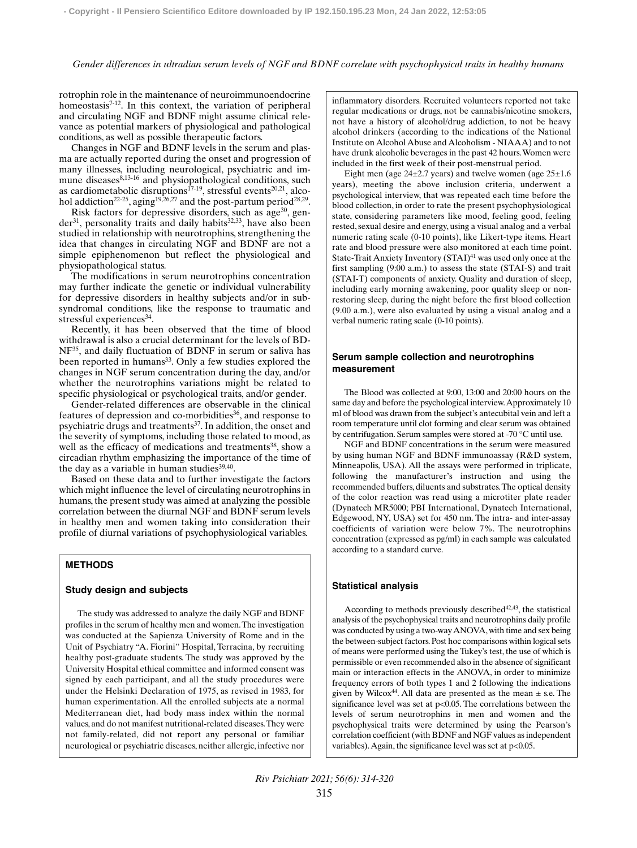#### *Gender differences in ultradian serum levels of NGF and BDNF correlate with psychophysical traits in healthy humans*

rotrophin role in the maintenance of neuroimmunoendocrine homeostasis<sup>7-12</sup>. In this context, the variation of peripheral and circulating NGF and BDNF might assume clinical relevance as potential markers of physiological and pathological conditions, as well as possible therapeutic factors.

Changes in NGF and BDNF levels in the serum and plasma are actually reported during the onset and progression of many illnesses, including neurological, psychiatric and immune diseases<sup>8,13-16</sup> and physiopathological conditions, such as cardiometabolic disruptions<sup>17-19</sup>, stressful events<sup>20,21</sup>, alcohol addiction<sup>22-25</sup>, aging<sup>19,26,27</sup> and the post-partum period<sup>28,29</sup>.

Risk factors for depressive disorders, such as  $age^{30}$ , gen $der<sup>31</sup>$ , personality traits and daily habits<sup>32,33</sup>, have also been studied in relationship with neurotrophins, strengthening the idea that changes in circulating NGF and BDNF are not a simple epiphenomenon but reflect the physiological and physiopathological status.

The modifications in serum neurotrophins concentration may further indicate the genetic or individual vulnerability for depressive disorders in healthy subjects and/or in subsyndromal conditions, like the response to traumatic and stressful experiences<sup>34</sup>.

Recently, it has been observed that the time of blood withdrawal is also a crucial determinant for the levels of BD-NF<sup>35</sup>, and daily fluctuation of BDNF in serum or saliva has been reported in humans<sup>33</sup>. Only a few studies explored the changes in NGF serum concentration during the day, and/or whether the neurotrophins variations might be related to specific physiological or psychological traits, and/or gender.

Gender-related differences are observable in the clinical features of depression and co-morbidities<sup>36</sup>, and response to psychiatric drugs and treatments<sup>37</sup>. In addition, the onset and the severity of symptoms, including those related to mood, as well as the efficacy of medications and treatments<sup>38</sup>, show a circadian rhythm emphasizing the importance of the time of the day as a variable in human studies<sup>39,40</sup>.

Based on these data and to further investigate the factors which might influence the level of circulating neurotrophins in humans, the present study was aimed at analyzing the possible correlation between the diurnal NGF and BDNF serum levels in healthy men and women taking into consideration their profile of diurnal variations of psychophysiological variables.

## **METHODS**

## **Study design and subjects**

The study was addressed to analyze the daily NGF and BDNF profiles in the serum of healthy men and women. The investigation was conducted at the Sapienza University of Rome and in the Unit of Psychiatry "A. Fiorini" Hospital, Terracina, by recruiting healthy post-graduate students. The study was approved by the University Hospital ethical committee and informed consent was signed by each participant, and all the study procedures were under the Helsinki Declaration of 1975, as revised in 1983, for human experimentation. All the enrolled subjects ate a normal Mediterranean diet, had body mass index within the normal values, and do not manifest nutritional-related diseases. They were not family-related, did not report any personal or familiar neurological or psychiatric diseases, neither allergic, infective nor inflammatory disorders. Recruited volunteers reported not take regular medications or drugs, not be cannabis/nicotine smokers, not have a history of alcohol/drug addiction, to not be heavy alcohol drinkers (according to the indications of the National Institute on Alcohol Abuse and Alcoholism - NIAAA) and to not have drunk alcoholic beverages in the past 42 hours. Women were included in the first week of their post-menstrual period.

Eight men (age  $24\pm2.7$  years) and twelve women (age  $25\pm1.6$ years), meeting the above inclusion criteria, underwent a psychological interview, that was repeated each time before the blood collection, in order to rate the present psychophysiological state, considering parameters like mood, feeling good, feeling rested, sexual desire and energy, using a visual analog and a verbal numeric rating scale (0-10 points), like Likert-type items. Heart rate and blood pressure were also monitored at each time point. State-Trait Anxiety Inventory (STAI)<sup>41</sup> was used only once at the first sampling (9:00 a.m.) to assess the state (STAI-S) and trait (STAI-T) components of anxiety. Quality and duration of sleep, including early morning awakening, poor quality sleep or nonrestoring sleep, during the night before the first blood collection (9.00 a.m.), were also evaluated by using a visual analog and a verbal numeric rating scale (0-10 points).

## **Serum sample collection and neurotrophins measurement**

The Blood was collected at 9:00, 13:00 and 20:00 hours on the same day and before the psychological interview. Approximately 10 ml of blood was drawn from the subject's antecubital vein and left a room temperature until clot forming and clear serum was obtained by centrifugation. Serum samples were stored at -70 °C until use.

NGF and BDNF concentrations in the serum were measured by using human NGF and BDNF immunoassay (R&D system, Minneapolis, USA). All the assays were performed in triplicate, following the manufacturer's instruction and using the recommended buffers, diluents and substrates. The optical density of the color reaction was read using a microtiter plate reader (Dynatech MR5000; PBI International, Dynatech International, Edgewood, NY, USA) set for 450 nm. The intra- and inter-assay coefficients of variation were below 7%. The neurotrophins concentration (expressed as pg/ml) in each sample was calculated according to a standard curve.

## **Statistical analysis**

According to methods previously described<sup> $42,43$ </sup>, the statistical analysis of the psychophysical traits and neurotrophins daily profile was conducted by using a two-way ANOVA, with time and sex being the between-subject factors. Post hoc comparisons within logical sets of means were performed using the Tukey's test, the use of which is permissible or even recommended also in the absence of significant main or interaction effects in the ANOVA, in order to minimize frequency errors of both types 1 and 2 following the indications given by Wilcox<sup>44</sup>. All data are presented as the mean  $\pm$  s.e. The significance level was set at  $p<0.05$ . The correlations between the levels of serum neurotrophins in men and women and the psychophysical traits were determined by using the Pearson's correlation coefficient (with BDNF and NGF values as independent variables). Again, the significance level was set at p<0.05.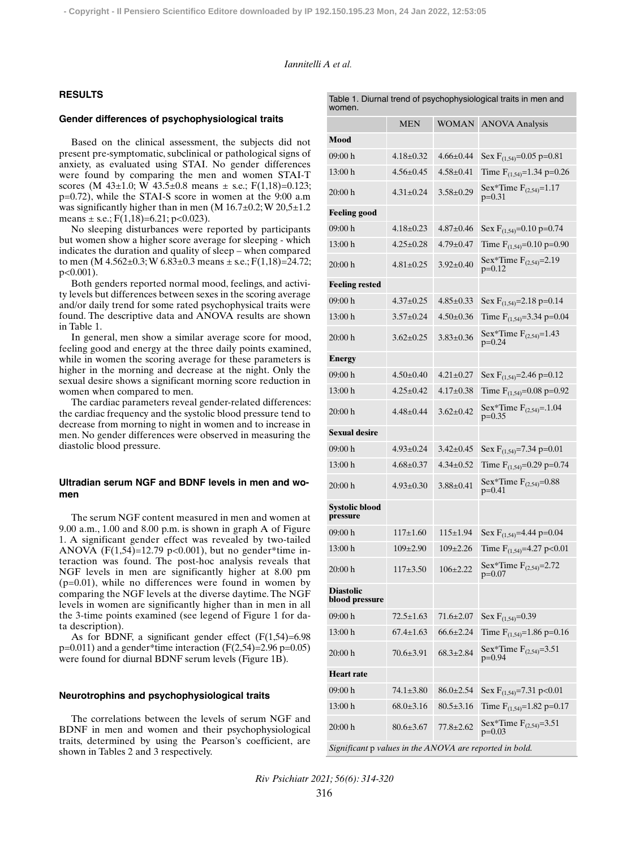#### *Iannitelli A et al.*

## **RESULTS**

#### **Gender differences of psychophysiological traits**

Based on the clinical assessment, the subjects did not present pre-symptomatic, subclinical or pathological signs of anxiety, as evaluated using STAI. No gender differences were found by comparing the men and women STAI-T scores (M 43 $\pm$ 1.0; W 43.5 $\pm$ 0.8 means  $\pm$  s.e.; F(1,18)=0.123; p=0.72), while the STAI-S score in women at the 9:00 a.m was significantly higher than in men  $(M 16.7 \pm 0.2; W 20, 5 \pm 1.2)$ means  $\pm$  s.e.; F(1,18)=6.21; p<0.023).

No sleeping disturbances were reported by participants but women show a higher score average for sleeping - which indicates the duration and quality of sleep – when compared to men (M  $4.562 \pm 0.3$ ; W  $6.83 \pm 0.3$  means  $\pm$  s.e.; F(1,18)=24.72; p<0.001).

Both genders reported normal mood, feelings, and activity levels but differences between sexes in the scoring average and/or daily trend for some rated psychophysical traits were found. The descriptive data and ANOVA results are shown in Table 1.

In general, men show a similar average score for mood, feeling good and energy at the three daily points examined, while in women the scoring average for these parameters is higher in the morning and decrease at the night. Only the sexual desire shows a significant morning score reduction in women when compared to men.

The cardiac parameters reveal gender-related differences: the cardiac frequency and the systolic blood pressure tend to decrease from morning to night in women and to increase in men. No gender differences were observed in measuring the diastolic blood pressure.

## **Ultradian serum NGF and BDNF levels in men and women**

The serum NGF content measured in men and women at 9.00 a.m., 1.00 and 8.00 p.m. is shown in graph A of Figure 1. A significant gender effect was revealed by two-tailed ANOVA  $(F(1, 54)=12.79 \text{ p} < 0.001)$ , but no gender\*time interaction was found. The post-hoc analysis reveals that NGF levels in men are significantly higher at 8.00 pm (p=0.01), while no differences were found in women by comparing the NGF levels at the diverse daytime. The NGF levels in women are significantly higher than in men in all the 3-time points examined (see legend of Figure 1 for data description).

As for BDNF, a significant gender effect  $(F(1,54)=6.98)$  $p=0.011$ ) and a gender\*time interaction (F(2,54)=2.96 p=0.05) were found for diurnal BDNF serum levels (Figure 1B).

#### **Neurotrophins and psychophysiological traits**

The correlations between the levels of serum NGF and BDNF in men and women and their psychophysiological traits, determined by using the Pearson's coefficient, are shown in Tables 2 and 3 respectively.

| women.                                                  |                 |                 |                                            |  |  |  |
|---------------------------------------------------------|-----------------|-----------------|--------------------------------------------|--|--|--|
|                                                         | MEN             | WOMAN           | <b>ANOVA Analysis</b>                      |  |  |  |
| Mood                                                    |                 |                 |                                            |  |  |  |
| 09:00 h                                                 | $4.18 \pm 0.32$ | $4.66 \pm 0.44$ | Sex $F_{(1,54)}=0.05$ p=0.81               |  |  |  |
| 13:00 h                                                 | $4.56 \pm 0.45$ | $4.58 + 0.41$   | Time $F_{(1,54)}=1.34$ p=0.26              |  |  |  |
| 20:00 h                                                 | $4.31 \pm 0.24$ | $3.58 \pm 0.29$ | Sex*Time $F_{(2,54)}=1.17$<br>$p=0.31$     |  |  |  |
| <b>Feeling good</b>                                     |                 |                 |                                            |  |  |  |
| 09:00 h                                                 | $4.18 \pm 0.23$ | $4.87 \pm 0.46$ | Sex $F_{(1,54)}=0.10$ p=0.74               |  |  |  |
| 13:00 h                                                 | $4.25 \pm 0.28$ | $4.79 \pm 0.47$ | Time $F_{(1,54)} = 0.10$ p=0.90            |  |  |  |
| 20:00 h                                                 | $4.81 \pm 0.25$ | $3.92 \pm 0.40$ | Sex*Time $F_{(2,54)} = 2.19$<br>p=0.12     |  |  |  |
| <b>Feeling rested</b>                                   |                 |                 |                                            |  |  |  |
| 09:00 h                                                 | $4.37 \pm 0.25$ | $4.85 \pm 0.33$ | Sex $F_{(1,54)} = 2.18$ p=0.14             |  |  |  |
| 13:00 h                                                 | $3.57 \pm 0.24$ | $4.50 \pm 0.36$ | Time $\overline{F}_{(1,54)} = 3.34$ p=0.04 |  |  |  |
| 20:00 h                                                 | $3.62 \pm 0.25$ | $3.83 \pm 0.36$ | Sex*Time $F_{(2,54)}=1.43$<br>$p=0.24$     |  |  |  |
| Energy                                                  |                 |                 |                                            |  |  |  |
| 09:00 h                                                 | $4.50 \pm 0.40$ | $4.21 + 0.27$   | Sex $F_{(1,54)} = 2.46$ p=0.12             |  |  |  |
| 13:00h                                                  | $4.25 \pm 0.42$ | $4.17 \pm 0.38$ | Time $F_{(1,54)} = 0.08$ p=0.92            |  |  |  |
| 20:00 h                                                 | $4.48 \pm 0.44$ | $3.62 \pm 0.42$ | Sex*Time $F_{(2,54)} = .1.04$<br>$p=0.35$  |  |  |  |
| <b>Sexual desire</b>                                    |                 |                 |                                            |  |  |  |
| 09:00 h                                                 | $4.93 \pm 0.24$ | $3.42 \pm 0.45$ | Sex $F_{(1,54)} = 7.34$ p=0.01             |  |  |  |
| 13:00h                                                  | $4.68 \pm 0.37$ | $4.34 \pm 0.52$ | Time $F_{(1,54)}=0.29$ p=0.74              |  |  |  |
| 20:00 h                                                 | $4.93 \pm 0.30$ | $3.88 \pm 0.41$ | Sex*Time $F_{(2,54)} = 0.88$<br>p=0.41     |  |  |  |
| <b>Systolic blood</b><br>pressure                       |                 |                 |                                            |  |  |  |
| 09:00 h                                                 | $117\pm1.60$    | 115±1.94        | Sex $F_{(1,54)}=4.44$ p=0.04               |  |  |  |
| 13:00 h                                                 | $109\pm2.90$    | $109 \pm 2.26$  | Time $F_{(1,54)} = 4.27$ p<0.01            |  |  |  |
| 20:00 h                                                 | $117+3.50$      | $106 + 2.22$    | Sex*Time $F_{(2,54)} = 2.72$<br>$p=0.07$   |  |  |  |
| <b>Diastolic</b><br>blood pressure                      |                 |                 |                                            |  |  |  |
| 09:00 h                                                 | $72.5 \pm 1.63$ | 71.6±2.07       | Sex $F_{(1,54)}=0.39$                      |  |  |  |
| 13:00 h                                                 | $67.4 \pm 1.63$ | $66.6 \pm 2.24$ | Time $\overline{F}_{(1,54)}$ =1.86 p=0.16  |  |  |  |
| 20:00 h                                                 | $70.6 \pm 3.91$ | $68.3 \pm 2.84$ | Sex*Time $F_{(2,54)} = 3.51$<br>p=0.94     |  |  |  |
| <b>Heart rate</b>                                       |                 |                 |                                            |  |  |  |
| 09:00 h                                                 | $74.1 \pm 3.80$ | $86.0 \pm 2.54$ | Sex $F_{(1,54)} = 7.31$ p<0.01             |  |  |  |
| 13:00 h                                                 | $68.0 \pm 3.16$ | $80.5 \pm 3.16$ | Time $F_{(1,54)} = 1.82$ p=0.17            |  |  |  |
| 20:00 h                                                 | $80.6 \pm 3.67$ | 77.8±2.62       | Sex*Time $F_{(2,54)} = 3.51$<br>p=0.03     |  |  |  |
| Significant p values in the ANOVA are reported in bold. |                 |                 |                                            |  |  |  |

Table 1. Diurnal trend of psychophysiological traits in men and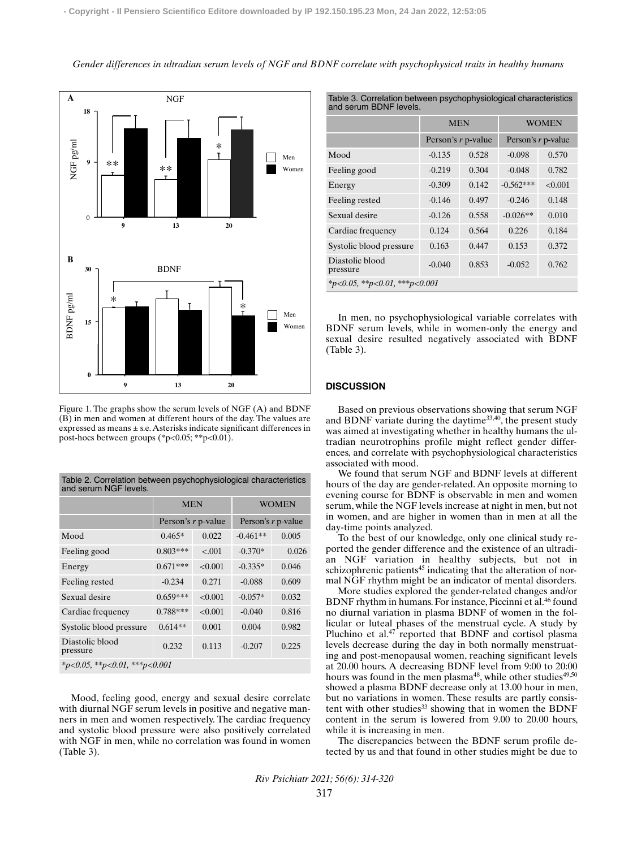*Gender differences in ultradian serum levels of NGF and BDNF correlate with psychophysical traits in healthy humans*



Figure 1. The graphs show the serum levels of NGF (A) and BDNF (B) in men and women at different hours of the day. The values are expressed as means ± s.e. Asterisks indicate significant differences in post-hocs between groups (\*p<0.05; \*\*p<0.01).

Table 2. Correlation between psychophysiological characteristics

| and serum NGF levels.                       |                    |         |                    |       |  |  |  |
|---------------------------------------------|--------------------|---------|--------------------|-------|--|--|--|
|                                             | <b>MEN</b>         |         | <b>WOMEN</b>       |       |  |  |  |
|                                             | Person's r p-value |         | Person's r p-value |       |  |  |  |
| Mood                                        | $0.465*$           | 0.022   | $-0.461**$         | 0.005 |  |  |  |
| Feeling good                                | $0.803***$         | < 0.001 | $-0.370*$          | 0.026 |  |  |  |
| Energy                                      | $0.671***$         | < 0.001 | $-0.335*$          | 0.046 |  |  |  |
| Feeling rested                              | $-0.234$           | 0.271   | $-0.088$           | 0.609 |  |  |  |
| Sexual desire                               | $0.659***$         | < 0.001 | $-0.057*$          | 0.032 |  |  |  |
| Cardiac frequency                           | $0.788***$         | < 0.001 | $-0.040$           | 0.816 |  |  |  |
| Systolic blood pressure                     | $0.614**$          | 0.001   | 0.004              | 0.982 |  |  |  |
| Diastolic blood<br>pressure                 | 0.232              | 0.113   | $-0.207$           | 0.225 |  |  |  |
| $*_{p<0.05}$ , $*_{p<0.01}$ , $*_{p<0.001}$ |                    |         |                    |       |  |  |  |

Mood, feeling good, energy and sexual desire correlate with diurnal NGF serum levels in positive and negative manners in men and women respectively. The cardiac frequency and systolic blood pressure were also positively correlated with NGF in men, while no correlation was found in women (Table 3).

|  |  |  | Table 3. Correlation between psychophysiological characteristics |
|--|--|--|------------------------------------------------------------------|
|  |  |  |                                                                  |

| and serum BDNF levels.        |                    |       |                    |         |  |  |
|-------------------------------|--------------------|-------|--------------------|---------|--|--|
|                               | <b>MEN</b>         |       | WOMEN              |         |  |  |
|                               | Person's r p-value |       | Person's r p-value |         |  |  |
| Mood                          | $-0.135$           | 0.528 | $-0.098$           | 0.570   |  |  |
| Feeling good                  | $-0.219$           | 0.304 | $-0.048$           | 0.782   |  |  |
| Energy                        | $-0.309$           | 0.142 | $-0.562***$        | < 0.001 |  |  |
| Feeling rested                | $-0.146$           | 0.497 | $-0.246$           | 0.148   |  |  |
| Sexual desire                 | $-0.126$           | 0.558 | $-0.026**$         | 0.010   |  |  |
| Cardiac frequency             | 0.124              | 0.564 | 0.226              | 0.184   |  |  |
| Systolic blood pressure       | 0.163              | 0.447 | 0.153              | 0.372   |  |  |
| Diastolic blood<br>pressure   | $-0.040$           | 0.853 | $-0.052$           | 0.762   |  |  |
| *p<0.05, **p<0.01, ***p<0.001 |                    |       |                    |         |  |  |

In men, no psychophysiological variable correlates with BDNF serum levels, while in women-only the energy and sexual desire resulted negatively associated with BDNF (Table 3).

#### **DISCUSSION**

Based on previous observations showing that serum NGF and BDNF variate during the daytime<sup>33,40</sup>, the present study was aimed at investigating whether in healthy humans the ultradian neurotrophins profile might reflect gender differences, and correlate with psychophysiological characteristics associated with mood.

We found that serum NGF and BDNF levels at different hours of the day are gender-related. An opposite morning to evening course for BDNF is observable in men and women serum, while the NGF levels increase at night in men, but not in women, and are higher in women than in men at all the day-time points analyzed.

To the best of our knowledge, only one clinical study reported the gender difference and the existence of an ultradian NGF variation in healthy subjects, but not in schizophrenic patients<sup>45</sup> indicating that the alteration of normal NGF rhythm might be an indicator of mental disorders.

More studies explored the gender-related changes and/or BDNF rhythm in humans. For instance, Piccinni et al.46 found no diurnal variation in plasma BDNF of women in the follicular or luteal phases of the menstrual cycle. A study by Pluchino et al.47 reported that BDNF and cortisol plasma levels decrease during the day in both normally menstruating and post-menopausal women, reaching significant levels at 20.00 hours. A decreasing BDNF level from 9:00 to 20:00 hours was found in the men plasma<sup>48</sup>, while other studies<sup>49,50</sup> showed a plasma BDNF decrease only at 13.00 hour in men, but no variations in women. These results are partly consistent with other studies<sup>33</sup> showing that in women the BDNF content in the serum is lowered from 9.00 to 20.00 hours, while it is increasing in men.

The discrepancies between the BDNF serum profile detected by us and that found in other studies might be due to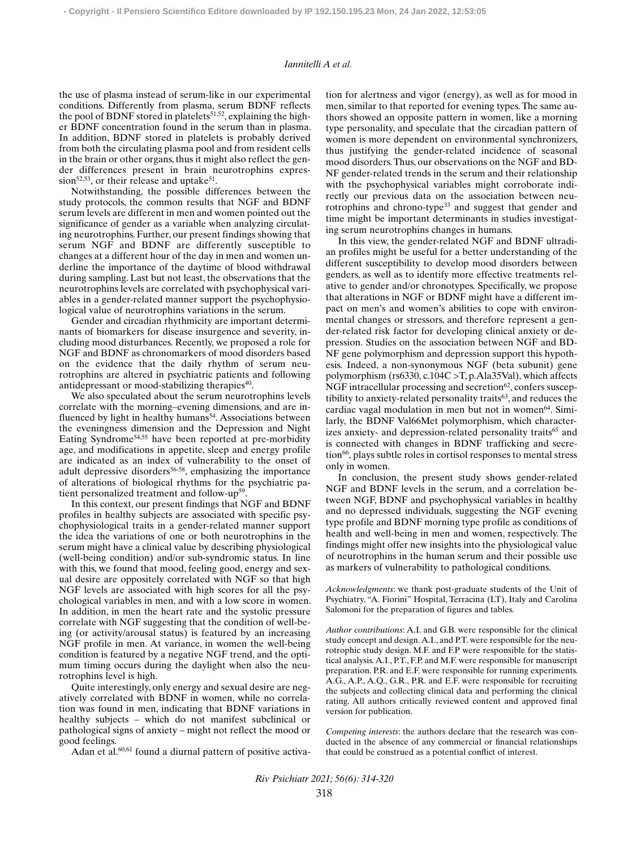#### *Iannitelli A et al.*

the use of plasma instead of serum-like in our experimental conditions. Differently from plasma, serum BDNF reflects the pool of BDNF stored in platelets<sup>51,52</sup>, explaining the higher BDNF concentration found in the serum than in plasma. In addition, BDNF stored in platelets is probably derived from both the circulating plasma pool and from resident cells in the brain or other organs, thus it might also reflect the gender differences present in brain neurotrophins expression<sup>52,53</sup>, or their release and uptake<sup>51</sup>.

Notwithstanding, the possible differences between the study protocols, the common results that NGF and BDNF serum levels are different in men and women pointed out the significance of gender as a variable when analyzing circulating neurotrophins. Further, our present findings showing that serum NGF and BDNF are differently susceptible to changes at a different hour of the day in men and women underline the importance of the daytime of blood withdrawal during sampling. Last but not least, the observations that the neurotrophins levels are correlated with psychophysical variables in a gender-related manner support the psychophysiological value of neurotrophins variations in the serum.

Gender and circadian rhythmicity are important determinants of biomarkers for disease insurgence and severity, including mood disturbances. Recently, we proposed a role for NGF and BDNF as chronomarkers of mood disorders based on the evidence that the daily rhythm of serum neurotrophins are altered in psychiatric patients and following antidepressant or mood-stabilizing therapies<sup>40</sup>.

We also speculated about the serum neurotrophins levels correlate with the morning–evening dimensions, and are influenced by light in healthy humans<sup>54</sup>. Associations between the eveningness dimension and the Depression and Night Eating Syndrome<sup>54,55</sup> have been reported at pre-morbidity age, and modifications in appetite, sleep and energy profile are indicated as an index of vulnerability to the onset of adult depressive disorders $56-58$ , emphasizing the importance of alterations of biological rhythms for the psychiatric patient personalized treatment and follow-up<sup>59</sup>

In this context, our present findings that NGF and BDNF profiles in healthy subjects are associated with specific psychophysiological traits in a gender-related manner support the idea the variations of one or both neurotrophins in the serum might have a clinical value by describing physiological (well-being condition) and/or sub-syndromic status. In line with this, we found that mood, feeling good, energy and sexual desire are oppositely correlated with NGF so that high NGF levels are associated with high scores for all the psychological variables in men, and with a low score in women. In addition, in men the heart rate and the systolic pressure correlate with NGF suggesting that the condition of well-being (or activity/arousal status) is featured by an increasing NGF profile in men. At variance, in women the well-being condition is featured by a negative NGF trend, and the optimum timing occurs during the daylight when also the neurotrophins level is high.

Quite interestingly, only energy and sexual desire are negatively correlated with BDNF in women, while no correlation was found in men, indicating that BDNF variations in healthy subjects – which do not manifest subclinical or pathological signs of anxiety – might not reflect the mood or good feelings.

Adan et al.<sup>60,61</sup> found a diurnal pattern of positive activa-

tion for alertness and vigor (energy), as well as for mood in men, similar to that reported for evening types. The same authors showed an opposite pattern in women, like a morning type personality, and speculate that the circadian pattern of women is more dependent on environmental synchronizers, thus justifying the gender-related incidence of seasonal mood disorders. Thus, our observations on the NGF and BD-NF gender-related trends in the serum and their relationship with the psychophysical variables might corroborate indirectly our previous data on the association between neurotrophins and chrono-type33 and suggest that gender and time might be important determinants in studies investigating serum neurotrophins changes in humans.

In this view, the gender-related NGF and BDNF ultradian profiles might be useful for a better understanding of the different susceptibility to develop mood disorders between genders, as well as to identify more effective treatments relative to gender and/or chronotypes. Specifically, we propose that alterations in NGF or BDNF might have a different impact on men's and women's abilities to cope with environmental changes or stressors, and therefore represent a gender-related risk factor for developing clinical anxiety or depression. Studies on the association between NGF and BD-NF gene polymorphism and depression support this hypothesis. Indeed, a non-synonymous NGF (beta subunit) gene polymorphism (rs6330, c.104C >T, p.Ala35Val), which affects NGF intracellular processing and secretion $62$ , confers susceptibility to anxiety-related personality traits $63$ , and reduces the cardiac vagal modulation in men but not in women<sup>64</sup>. Similarly, the BDNF Val66Met polymorphism, which characterizes anxiety- and depression-related personality traits<sup>65</sup> and is connected with changes in BDNF trafficking and secretion66, plays subtle roles in cortisol responses to mental stress only in women.

In conclusion, the present study shows gender-related NGF and BDNF levels in the serum, and a correlation between NGF, BDNF and psychophysical variables in healthy and no depressed individuals, suggesting the NGF evening type profile and BDNF morning type profile as conditions of health and well-being in men and women, respectively. The findings might offer new insights into the physiological value of neurotrophins in the human serum and their possible use as markers of vulnerability to pathological conditions.

*Acknowledgments*: we thank post-graduate students of the Unit of Psychiatry, "A. Fiorini" Hospital, Terracina (LT), Italy and Carolina Salomoni for the preparation of figures and tables.

*Author contributions*: A.I. and G.B. were responsible for the clinical study concept and design. A.I., and P.T. were responsible for the neurotrophic study design. M.F. and F.P were responsible for the statistical analysis. A.I., P.T., F.P. and M.F. were responsible for manuscript preparation. P.R. and E.F. were responsible for running experiments. A.G., A.P., A.Q., G.R., P.R. and E.F. were responsible for recruiting the subjects and collecting clinical data and performing the clinical rating. All authors critically reviewed content and approved final version for publication.

*Competing interests*: the authors declare that the research was conducted in the absence of any commercial or financial relationships that could be construed as a potential conflict of interest.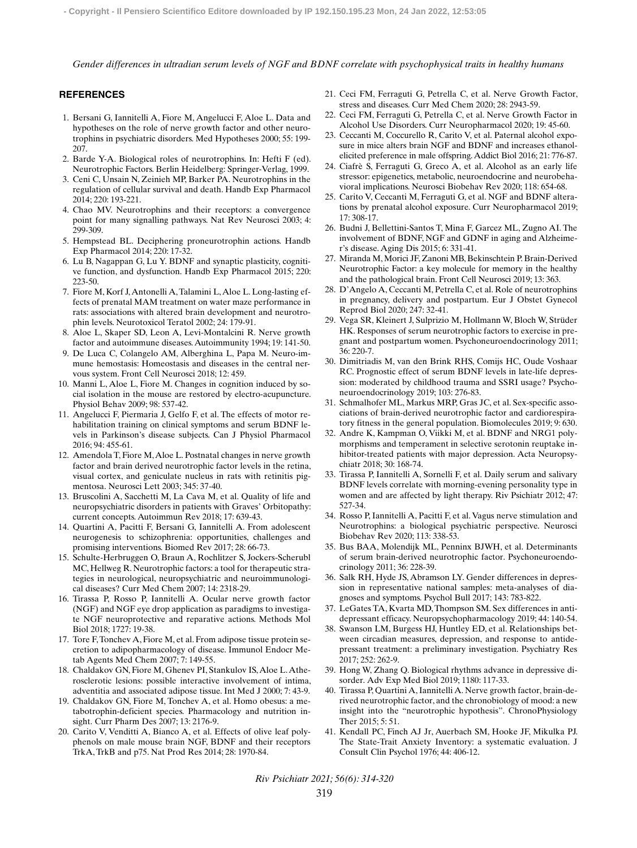*Gender differences in ultradian serum levels of NGF and BDNF correlate with psychophysical traits in healthy humans*

## **REFERENCES**

- 1. Bersani G, Iannitelli A, Fiore M, Angelucci F, Aloe L. Data and hypotheses on the role of nerve growth factor and other neurotrophins in psychiatric disorders. Med Hypotheses 2000; 55: 199- 207.
- 2. Barde Y-A. Biological roles of neurotrophins. In: Hefti F (ed). Neurotrophic Factors. Berlin Heidelberg: Springer-Verlag, 1999.
- 3. Ceni C, Unsain N, Zeinieh MP, Barker PA. Neurotrophins in the regulation of cellular survival and death. Handb Exp Pharmacol 2014; 220: 193-221.
- 4. Chao MV. Neurotrophins and their receptors: a convergence point for many signalling pathways. Nat Rev Neurosci 2003; 4: 299-309.
- 5. Hempstead BL. Deciphering proneurotrophin actions. Handb Exp Pharmacol 2014; 220: 17-32.
- 6. Lu B, Nagappan G, Lu Y. BDNF and synaptic plasticity, cognitive function, and dysfunction. Handb Exp Pharmacol 2015; 220: 223-50.
- 7. Fiore M, Korf J, Antonelli A, Talamini L, Aloe L. Long-lasting effects of prenatal MAM treatment on water maze performance in rats: associations with altered brain development and neurotrophin levels. Neurotoxicol Teratol 2002; 24: 179-91.
- 8. Aloe L, Skaper SD, Leon A, Levi-Montalcini R. Nerve growth factor and autoimmune diseases. Autoimmunity 1994; 19: 141-50.
- 9. De Luca C, Colangelo AM, Alberghina L, Papa M. Neuro-immune hemostasis: Homeostasis and diseases in the central nervous system. Front Cell Neurosci 2018; 12: 459.
- 10. Manni L, Aloe L, Fiore M. Changes in cognition induced by social isolation in the mouse are restored by electro-acupuncture. Physiol Behav 2009; 98: 537-42.
- 11. Angelucci F, Piermaria J, Gelfo F, et al. The effects of motor rehabilitation training on clinical symptoms and serum BDNF levels in Parkinson's disease subjects. Can J Physiol Pharmacol 2016; 94: 455-61.
- 12. Amendola T, Fiore M, Aloe L. Postnatal changes in nerve growth factor and brain derived neurotrophic factor levels in the retina, visual cortex, and geniculate nucleus in rats with retinitis pigmentosa. Neurosci Lett 2003; 345: 37-40.
- 13. Bruscolini A, Sacchetti M, La Cava M, et al. Quality of life and neuropsychiatric disorders in patients with Graves' Orbitopathy: current concepts. Autoimmun Rev 2018; 17: 639-43.
- 14. Quartini A, Pacitti F, Bersani G, Iannitelli A. From adolescent neurogenesis to schizophrenia: opportunities, challenges and promising interventions. Biomed Rev 2017; 28: 66-73.
- 15. Schulte-Herbruggen O, Braun A, Rochlitzer S, Jockers-Scherubl MC, Hellweg R. Neurotrophic factors: a tool for therapeutic strategies in neurological, neuropsychiatric and neuroimmunological diseases? Curr Med Chem 2007; 14: 2318-29.
- 16. Tirassa P, Rosso P, Iannitelli A. Ocular nerve growth factor (NGF) and NGF eye drop application as paradigms to investigate NGF neuroprotective and reparative actions. Methods Mol Biol 2018; 1727: 19-38.
- 17. Tore F, Tonchev A, Fiore M, et al. From adipose tissue protein secretion to adipopharmacology of disease. Immunol Endocr Metab Agents Med Chem 2007; 7: 149-55.
- 18. Chaldakov GN, Fiore M, Ghenev PI, Stankulov IS, Aloe L. Atherosclerotic lesions: possible interactive involvement of intima, adventitia and associated adipose tissue. Int Med J 2000; 7: 43-9.
- 19. Chaldakov GN, Fiore M, Tonchev A, et al. Homo obesus: a metabotrophin-deficient species. Pharmacology and nutrition insight. Curr Pharm Des 2007; 13: 2176-9.
- 20. Carito V, Venditti A, Bianco A, et al. Effects of olive leaf polyphenols on male mouse brain NGF, BDNF and their receptors TrkA, TrkB and p75. Nat Prod Res 2014; 28: 1970-84.
- 21. Ceci FM, Ferraguti G, Petrella C, et al. Nerve Growth Factor, stress and diseases. Curr Med Chem 2020; 28: 2943-59.
- 22. Ceci FM, Ferraguti G, Petrella C, et al. Nerve Growth Factor in Alcohol Use Disorders. Curr Neuropharmacol 2020; 19: 45-60.
- 23. Ceccanti M, Coccurello R, Carito V, et al. Paternal alcohol exposure in mice alters brain NGF and BDNF and increases ethanolelicited preference in male offspring. Addict Biol 2016; 21: 776-87.
- 24. Ciafrè S, Ferraguti G, Greco A, et al. Alcohol as an early life stressor: epigenetics, metabolic, neuroendocrine and neurobehavioral implications. Neurosci Biobehav Rev 2020; 118: 654-68.
- 25. Carito V, Ceccanti M, Ferraguti G, et al. NGF and BDNF alterations by prenatal alcohol exposure. Curr Neuropharmacol 2019; 17: 308-17.
- 26. Budni J, Bellettini-Santos T, Mina F, Garcez ML, Zugno AI. The involvement of BDNF, NGF and GDNF in aging and Alzheimer's disease. Aging Dis 2015; 6: 331-41.
- 27. Miranda M, Morici JF, Zanoni MB, Bekinschtein P. Brain-Derived Neurotrophic Factor: a key molecule for memory in the healthy and the pathological brain. Front Cell Neurosci 2019; 13: 363.
- 28. D'Angelo A, Ceccanti M, Petrella C, et al. Role of neurotrophins in pregnancy, delivery and postpartum. Eur J Obstet Gynecol Reprod Biol 2020; 247: 32-41.
- 29. Vega SR, Kleinert J, Sulprizio M, Hollmann W, Bloch W, Strüder HK. Responses of serum neurotrophic factors to exercise in pregnant and postpartum women. Psychoneuroendocrinology 2011; 36: 220-7.
- 30. Dimitriadis M, van den Brink RHS, Comijs HC, Oude Voshaar RC. Prognostic effect of serum BDNF levels in late-life depression: moderated by childhood trauma and SSRI usage? Psychoneuroendocrinology 2019; 103: 276-83.
- 31. Schmalhofer ML, Markus MRP, Gras JC, et al. Sex-specific associations of brain-derived neurotrophic factor and cardiorespiratory fitness in the general population. Biomolecules 2019; 9: 630.
- 32. Andre K, Kampman O, Viikki M, et al. BDNF and NRG1 polymorphisms and temperament in selective serotonin reuptake inhibitor-treated patients with major depression. Acta Neuropsychiatr 2018; 30: 168-74.
- 33. Tirassa P, Iannitelli A, Sornelli F, et al. Daily serum and salivary BDNF levels correlate with morning-evening personality type in women and are affected by light therapy. Riv Psichiatr 2012; 47: 527-34.
- 34. Rosso P, Iannitelli A, Pacitti F, et al. Vagus nerve stimulation and Neurotrophins: a biological psychiatric perspective. Neurosci Biobehav Rev 2020; 113: 338-53.
- 35. Bus BAA, Molendijk ML, Penninx BJWH, et al. Determinants of serum brain-derived neurotrophic factor. Psychoneuroendocrinology 2011; 36: 228-39.
- 36. Salk RH, Hyde JS, Abramson LY. Gender differences in depression in representative national samples: meta-analyses of diagnoses and symptoms. Psychol Bull 2017; 143: 783-822.
- 37. LeGates TA, Kvarta MD, Thompson SM. Sex differences in antidepressant efficacy. Neuropsychopharmacology 2019; 44: 140-54.
- 38. Swanson LM, Burgess HJ, Huntley ED, et al. Relationships between circadian measures, depression, and response to antidepressant treatment: a preliminary investigation. Psychiatry Res 2017; 252: 262-9.
- 39. Hong W, Zhang Q. Biological rhythms advance in depressive disorder. Adv Exp Med Biol 2019; 1180: 117-33.
- 40. Tirassa P, Quartini A, Iannitelli A. Nerve growth factor, brain-derived neurotrophic factor, and the chronobiology of mood: a new insight into the "neurotrophic hypothesis". ChronoPhysiology Ther 2015; 5: 51.
- 41. Kendall PC, Finch AJ Jr, Auerbach SM, Hooke JF, Mikulka PJ. The State-Trait Anxiety Inventory: a systematic evaluation. J Consult Clin Psychol 1976; 44: 406-12.
- *Riv Psichiatr 2021; 56(6): 314-320*